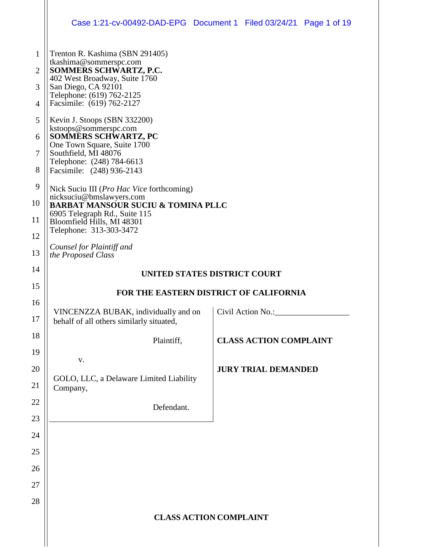|                | Case 1:21-cv-00492-DAD-EPG  Document 1  Filed 03/24/21  Page 1 of 19                   |                               |                                     |  |  |  |  |  |
|----------------|----------------------------------------------------------------------------------------|-------------------------------|-------------------------------------|--|--|--|--|--|
| $\mathbf{1}$   | Trenton R. Kashima (SBN 291405)<br>tkashima@sommerspc.com                              |                               |                                     |  |  |  |  |  |
| $\overline{2}$ | SOMMERS SCHWARTZ, P.C.<br>402 West Broadway, Suite 1760                                |                               |                                     |  |  |  |  |  |
| 3<br>4         | San Diego, CA 92101<br>Telephone: (619) 762-2125<br>Facsimile: (619) 762-2127          |                               |                                     |  |  |  |  |  |
| 5              | Kevin J. Stoops (SBN 332200)                                                           |                               |                                     |  |  |  |  |  |
| 6              | kstoops@sommerspc.com<br><b>SOMMERS SCHWARTZ, PC</b>                                   |                               |                                     |  |  |  |  |  |
| 7              | One Town Square, Suite 1700<br>Southfield, MI 48076                                    |                               |                                     |  |  |  |  |  |
| 8              | Telephone: (248) 784-6613<br>Facsimile: (248) 936-2143                                 |                               |                                     |  |  |  |  |  |
| 9              | Nick Suciu III ( <i>Pro Hac Vice</i> forthcoming)                                      |                               |                                     |  |  |  |  |  |
| 10             | nicksuciu@bmslawyers.com<br><b>BARBAT MANSOUR SUCIU &amp; TOMINA PLLC</b>              |                               |                                     |  |  |  |  |  |
| 11             | 6905 Telegraph Rd., Suite 115<br>Bloomfield Hills, MI 48301<br>Telephone: 313-303-3472 |                               |                                     |  |  |  |  |  |
| 12             | Counsel for Plaintiff and                                                              |                               |                                     |  |  |  |  |  |
| 13             | the Proposed Class                                                                     |                               |                                     |  |  |  |  |  |
| 14             |                                                                                        | UNITED STATES DISTRICT COURT  |                                     |  |  |  |  |  |
| 15             | FOR THE EASTERN DISTRICT OF CALIFORNIA                                                 |                               |                                     |  |  |  |  |  |
| 16<br>17       | VINCENZZA BUBAK, individually and on<br>behalf of all others similarly situated,       |                               | Civil Action No.: Civil Action No.: |  |  |  |  |  |
| 18             | Plaintiff,                                                                             |                               | <b>CLASS ACTION COMPLAINT</b>       |  |  |  |  |  |
| 19             | V.                                                                                     |                               |                                     |  |  |  |  |  |
| 20             | GOLO, LLC, a Delaware Limited Liability                                                |                               | <b>JURY TRIAL DEMANDED</b>          |  |  |  |  |  |
| 21             | Company,                                                                               |                               |                                     |  |  |  |  |  |
| 22             | Defendant.                                                                             |                               |                                     |  |  |  |  |  |
| 23<br>24       |                                                                                        |                               |                                     |  |  |  |  |  |
| 25             |                                                                                        |                               |                                     |  |  |  |  |  |
| 26             |                                                                                        |                               |                                     |  |  |  |  |  |
| 27             |                                                                                        |                               |                                     |  |  |  |  |  |
| 28             |                                                                                        |                               |                                     |  |  |  |  |  |
|                |                                                                                        | <b>CLASS ACTION COMPLAINT</b> |                                     |  |  |  |  |  |
|                |                                                                                        |                               |                                     |  |  |  |  |  |
|                |                                                                                        |                               |                                     |  |  |  |  |  |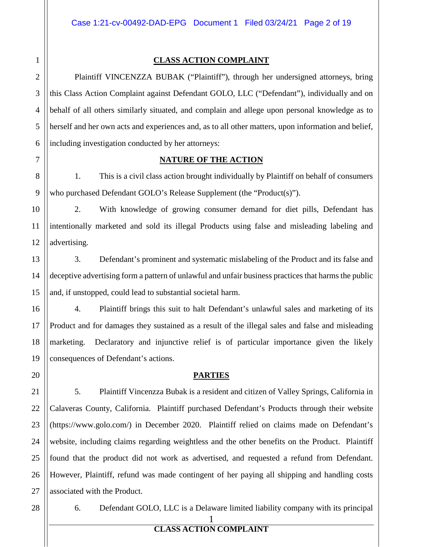4

5

6

8

9

10

11

12

13

14

15

16

17

18

19

20

21

22

23

24

25

26

27

## **CLASS ACTION COMPLAINT**

Plaintiff VINCENZZA BUBAK ("Plaintiff"), through her undersigned attorneys, bring this Class Action Complaint against Defendant GOLO, LLC ("Defendant"), individually and on behalf of all others similarly situated, and complain and allege upon personal knowledge as to herself and her own acts and experiences and, as to all other matters, upon information and belief, including investigation conducted by her attorneys:

7

## **NATURE OF THE ACTION**

1. This is a civil class action brought individually by Plaintiff on behalf of consumers who purchased Defendant GOLO's Release Supplement (the "Product(s)").

2. With knowledge of growing consumer demand for diet pills, Defendant has intentionally marketed and sold its illegal Products using false and misleading labeling and advertising.

3. Defendant's prominent and systematic mislabeling of the Product and its false and deceptive advertising form a pattern of unlawful and unfair business practices that harms the public and, if unstopped, could lead to substantial societal harm.

4. Plaintiff brings this suit to halt Defendant's unlawful sales and marketing of its Product and for damages they sustained as a result of the illegal sales and false and misleading marketing. Declaratory and injunctive relief is of particular importance given the likely consequences of Defendant's actions.

## **PARTIES**

5. Plaintiff Vincenzza Bubak is a resident and citizen of Valley Springs, California in Calaveras County, California. Plaintiff purchased Defendant's Products through their website (https://www.golo.com/) in December 2020. Plaintiff relied on claims made on Defendant's website, including claims regarding weightless and the other benefits on the Product. Plaintiff found that the product did not work as advertised, and requested a refund from Defendant. However, Plaintiff, refund was made contingent of her paying all shipping and handling costs associated with the Product.

28

6. Defendant GOLO, LLC is a Delaware limited liability company with its principal

1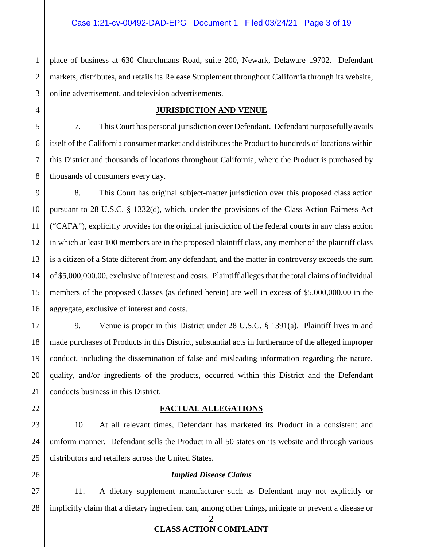1 2 place of business at 630 Churchmans Road, suite 200, Newark, Delaware 19702. Defendant markets, distributes, and retails its Release Supplement throughout California through its website, online advertisement, and television advertisements.

## **JURISDICTION AND VENUE**

7. This Court has personal jurisdiction over Defendant. Defendant purposefully avails itself of the California consumer market and distributes the Product to hundreds of locations within this District and thousands of locations throughout California, where the Product is purchased by thousands of consumers every day.

8. This Court has original subject-matter jurisdiction over this proposed class action pursuant to 28 U.S.C. § 1332(d), which, under the provisions of the Class Action Fairness Act ("CAFA"), explicitly provides for the original jurisdiction of the federal courts in any class action in which at least 100 members are in the proposed plaintiff class, any member of the plaintiff class is a citizen of a State different from any defendant, and the matter in controversy exceeds the sum of \$5,000,000.00, exclusive of interest and costs. Plaintiff alleges that the total claims of individual members of the proposed Classes (as defined herein) are well in excess of \$5,000,000.00 in the aggregate, exclusive of interest and costs.

9. Venue is proper in this District under 28 U.S.C. § 1391(a). Plaintiff lives in and made purchases of Products in this District, substantial acts in furtherance of the alleged improper conduct, including the dissemination of false and misleading information regarding the nature, quality, and/or ingredients of the products, occurred within this District and the Defendant conducts business in this District.

## **FACTUAL ALLEGATIONS**

10. At all relevant times, Defendant has marketed its Product in a consistent and uniform manner. Defendant sells the Product in all 50 states on its website and through various distributors and retailers across the United States.

## *Implied Disease Claims*

11. A dietary supplement manufacturer such as Defendant may not explicitly or implicitly claim that a dietary ingredient can, among other things, mitigate or prevent a disease or

2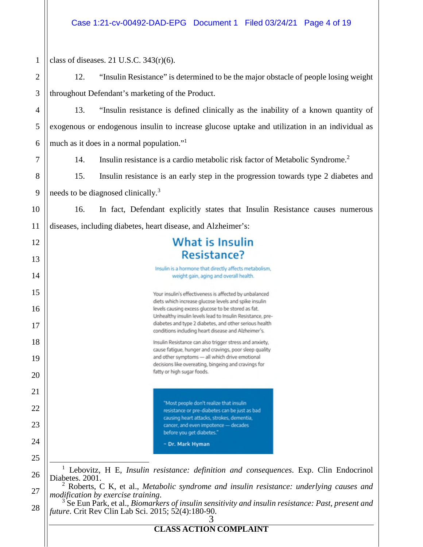| $\mathbf{1}$   | class of diseases. 21 U.S.C. $343(r)(6)$ .                                                                                                                                                                                                                                                                       |  |  |  |  |  |  |  |
|----------------|------------------------------------------------------------------------------------------------------------------------------------------------------------------------------------------------------------------------------------------------------------------------------------------------------------------|--|--|--|--|--|--|--|
| $\overline{2}$ | "Insulin Resistance" is determined to be the major obstacle of people losing weight<br>12.                                                                                                                                                                                                                       |  |  |  |  |  |  |  |
| 3              | throughout Defendant's marketing of the Product.                                                                                                                                                                                                                                                                 |  |  |  |  |  |  |  |
| $\overline{4}$ | "Insulin resistance is defined clinically as the inability of a known quantity of<br>13.                                                                                                                                                                                                                         |  |  |  |  |  |  |  |
| 5              | exogenous or endogenous insulin to increase glucose uptake and utilization in an individual as                                                                                                                                                                                                                   |  |  |  |  |  |  |  |
| 6              | much as it does in a normal population." <sup>1</sup>                                                                                                                                                                                                                                                            |  |  |  |  |  |  |  |
| 7              | Insulin resistance is a cardio metabolic risk factor of Metabolic Syndrome. <sup>2</sup><br>14.                                                                                                                                                                                                                  |  |  |  |  |  |  |  |
| 8              | 15.<br>Insulin resistance is an early step in the progression towards type 2 diabetes and                                                                                                                                                                                                                        |  |  |  |  |  |  |  |
| 9              | needs to be diagnosed clinically. <sup>3</sup>                                                                                                                                                                                                                                                                   |  |  |  |  |  |  |  |
| 10             | In fact, Defendant explicitly states that Insulin Resistance causes numerous<br>16.                                                                                                                                                                                                                              |  |  |  |  |  |  |  |
| 11             | diseases, including diabetes, heart disease, and Alzheimer's:                                                                                                                                                                                                                                                    |  |  |  |  |  |  |  |
| 12             | <b>What is Insulin</b>                                                                                                                                                                                                                                                                                           |  |  |  |  |  |  |  |
| 13             | <b>Resistance?</b>                                                                                                                                                                                                                                                                                               |  |  |  |  |  |  |  |
| 14             | Insulin is a hormone that directly affects metabolism,<br>weight gain, aging and overall health.<br>Your insulin's effectiveness is affected by unbalanced<br>diets which increase glucose levels and spike insulin                                                                                              |  |  |  |  |  |  |  |
| 15             |                                                                                                                                                                                                                                                                                                                  |  |  |  |  |  |  |  |
| 16<br>17       | levels causing excess glucose to be stored as fat.<br>Unhealthy insulin levels lead to Insulin Resistance, pre-<br>diabetes and type 2 diabetes, and other serious health                                                                                                                                        |  |  |  |  |  |  |  |
| 18             | conditions including heart disease and Alzheimer's.<br>Insulin Resistance can also trigger stress and anxiety,<br>cause fatigue, hunger and cravings, poor sleep quality<br>and other symptoms - all which drive emotional<br>decisions like overeating, bingeing and cravings for<br>fatty or high sugar foods. |  |  |  |  |  |  |  |
| 19             |                                                                                                                                                                                                                                                                                                                  |  |  |  |  |  |  |  |
| 20             |                                                                                                                                                                                                                                                                                                                  |  |  |  |  |  |  |  |
| 21             |                                                                                                                                                                                                                                                                                                                  |  |  |  |  |  |  |  |
| 22             | "Most people don't realize that insulin<br>resistance or pre-diabetes can be just as bad                                                                                                                                                                                                                         |  |  |  |  |  |  |  |
| 23             | causing heart attacks, strokes, dementia,<br>cancer, and even impotence - decades                                                                                                                                                                                                                                |  |  |  |  |  |  |  |
| 24             | before you get diabetes."<br>- Dr. Mark Hyman                                                                                                                                                                                                                                                                    |  |  |  |  |  |  |  |
| 25             |                                                                                                                                                                                                                                                                                                                  |  |  |  |  |  |  |  |
| 26             | Lebovitz, H E, Insulin resistance: definition and consequences. Exp. Clin Endocrinol<br>Diabetes. 2001.                                                                                                                                                                                                          |  |  |  |  |  |  |  |
| 27             | $2$ Roberts, C K, et al., Metabolic syndrome and insulin resistance: underlying causes and<br>modification by exercise training.                                                                                                                                                                                 |  |  |  |  |  |  |  |
| 28             | $3$ Se Eun Park, et al., <i>Biomarkers of insulin sensitivity and insulin resistance: Past, present and</i><br><i>future</i> . Crit Rev Clin Lab Sci. 2015; 52(4):180-90.<br>3                                                                                                                                   |  |  |  |  |  |  |  |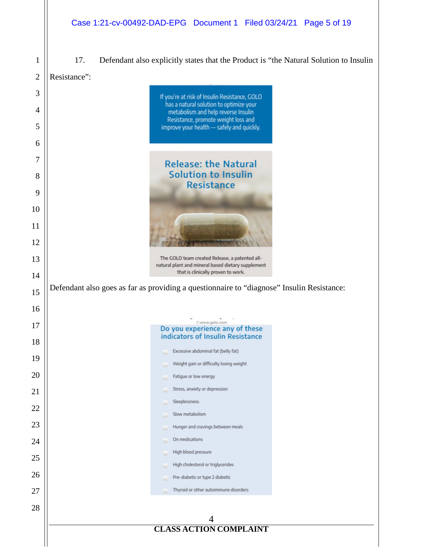17. Defendant also explicitly states that the Product is "the Natural Solution to Insulin

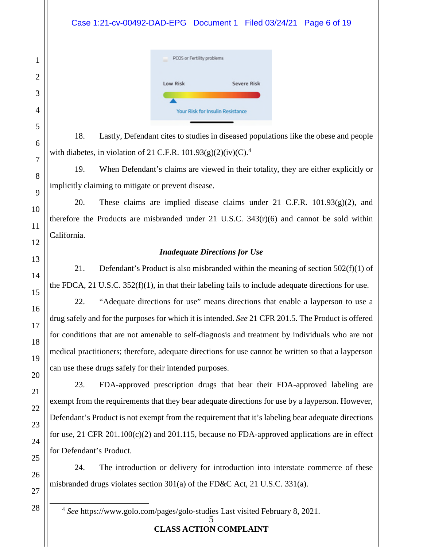## Case 1:21-cv-00492-DAD-EPG Document 1 Filed 03/24/21 Page 6 of 19

| PCOS or Fertility problems              |                    |  |  |  |  |
|-----------------------------------------|--------------------|--|--|--|--|
| <b>Low Risk</b>                         | <b>Severe Risk</b> |  |  |  |  |
|                                         |                    |  |  |  |  |
| <b>Your Risk for Insulin Resistance</b> |                    |  |  |  |  |

18. Lastly, Defendant cites to studies in diseased populations like the obese and people with diabetes, in violation of 21 C.F.R. 101.93(g)(2)(iv)(C).<sup>4</sup>

19. When Defendant's claims are viewed in their totality, they are either explicitly or implicitly claiming to mitigate or prevent disease.

20. These claims are implied disease claims under 21 C.F.R. 101.93(g)(2), and therefore the Products are misbranded under 21 U.S.C.  $343(r)(6)$  and cannot be sold within California.

## *Inadequate Directions for Use*

21. Defendant's Product is also misbranded within the meaning of section  $502(f)(1)$  of the FDCA, 21 U.S.C.  $352(f)(1)$ , in that their labeling fails to include adequate directions for use.

22. "Adequate directions for use" means directions that enable a layperson to use a drug safely and for the purposes for which it is intended. *See* 21 CFR 201.5. The Product is offered for conditions that are not amenable to self-diagnosis and treatment by individuals who are not medical practitioners; therefore, adequate directions for use cannot be written so that a layperson can use these drugs safely for their intended purposes.

23. FDA-approved prescription drugs that bear their FDA-approved labeling are exempt from the requirements that they bear adequate directions for use by a layperson. However, Defendant's Product is not exempt from the requirement that it's labeling bear adequate directions for use, 21 CFR 201.100(c)(2) and 201.115, because no FDA-approved applications are in effect for Defendant's Product.

24. The introduction or delivery for introduction into interstate commerce of these misbranded drugs violates section 301(a) of the FD&C Act, 21 U.S.C. 331(a).

5 4 *See* https://www.golo.com/pages/golo-studies Last visited February 8, 2021.

## **CLASS ACTION COMPLAINT**

 $\overline{a}$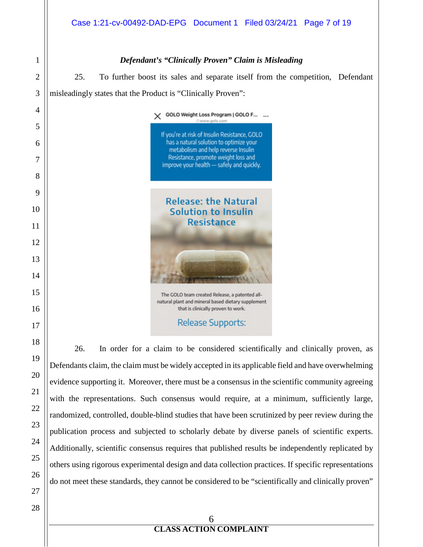## *Defendant's "Clinically Proven" Claim is Misleading*

25. To further boost its sales and separate itself from the competition, Defendant misleadingly states that the Product is "Clinically Proven":

> X GOLO Weight Loss Program | GOLO F... ... If you're at risk of Insulin Resistance, GOLO has a natural solution to optimize your metabolism and help reverse Insulin Resistance, promote weight loss and improve your health - safely and quickly.

**Release: the Natural** Solution to Insulin **Resistance** 

The GOLO team created Release, a patented allnatural plant and mineral based dietary supplement that is clinically proven to work.

**Release Supports:** 

26. In order for a claim to be considered scientifically and clinically proven, as Defendants claim, the claim must be widely accepted in its applicable field and have overwhelming evidence supporting it. Moreover, there must be a consensus in the scientific community agreeing with the representations. Such consensus would require, at a minimum, sufficiently large, randomized, controlled, double-blind studies that have been scrutinized by peer review during the publication process and subjected to scholarly debate by diverse panels of scientific experts. Additionally, scientific consensus requires that published results be independently replicated by others using rigorous experimental design and data collection practices. If specific representations do not meet these standards, they cannot be considered to be "scientifically and clinically proven"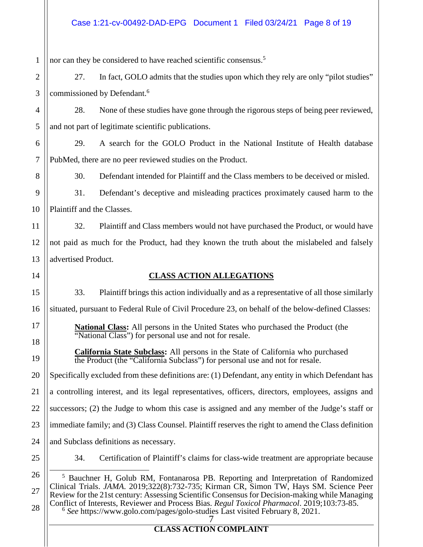1 nor can they be considered to have reached scientific consensus.<sup>5</sup>

2 3 27. In fact, GOLO admits that the studies upon which they rely are only "pilot studies" commissioned by Defendant.<sup>6</sup>

28. None of these studies have gone through the rigorous steps of being peer reviewed, and not part of legitimate scientific publications.

6 7 29. A search for the GOLO Product in the National Institute of Health database PubMed, there are no peer reviewed studies on the Product.

30. Defendant intended for Plaintiff and the Class members to be deceived or misled.

9 10 31. Defendant's deceptive and misleading practices proximately caused harm to the Plaintiff and the Classes.

32. Plaintiff and Class members would not have purchased the Product, or would have not paid as much for the Product, had they known the truth about the mislabeled and falsely advertised Product.

14

4

5

8

11

12

13

15

17

18

19

## **CLASS ACTION ALLEGATIONS**

33. Plaintiff brings this action individually and as a representative of all those similarly

16 situated, pursuant to Federal Rule of Civil Procedure 23, on behalf of the below-defined Classes:

**National Class:** All persons in the United States who purchased the Product (the "National Class") for personal use and not for resale.

**California State Subclass:** All persons in the State of California who purchased the Product (the "California Subclass") for personal use and not for resale.

20 Specifically excluded from these definitions are: (1) Defendant, any entity in which Defendant has

21 a controlling interest, and its legal representatives, officers, directors, employees, assigns and

22 successors; (2) the Judge to whom this case is assigned and any member of the Judge's staff or

23 immediate family; and (3) Class Counsel. Plaintiff reserves the right to amend the Class definition

24 and Subclass definitions as necessary.

25

34. Certification of Plaintiff's claims for class-wide treatment are appropriate because

7 26 27 28  $\overline{a}$ <sup>5</sup> Bauchner H, Golub RM, Fontanarosa PB. Reporting and Interpretation of Randomized Clinical Trials. *JAMA*. 2019;322(8):732-735; Kirman CR, Simon TW, Hays SM. Science Peer Review for the 21st century: Assessing Scientific Consensus for Decision-making while Managing Conflict of Interests, Reviewer and Process Bias. *Regul Toxicol Pharmacol*. 2019;103:73-85. 6 *See* https://www.golo.com/pages/golo-studies Last visited February 8, 2021.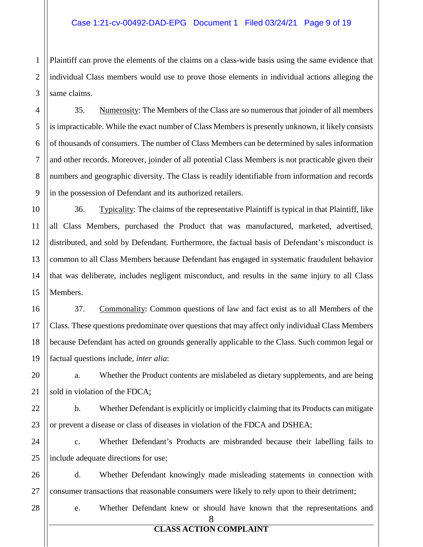1 2 3 Plaintiff can prove the elements of the claims on a class-wide basis using the same evidence that individual Class members would use to prove those elements in individual actions alleging the same claims.

35. Numerosity: The Members of the Class are so numerous that joinder of all members is impracticable. While the exact number of Class Members is presently unknown, it likely consists of thousands of consumers. The number of Class Members can be determined by sales information and other records. Moreover, joinder of all potential Class Members is not practicable given their numbers and geographic diversity. The Class is readily identifiable from information and records in the possession of Defendant and its authorized retailers.

36. Typicality: The claims of the representative Plaintiff is typical in that Plaintiff, like all Class Members, purchased the Product that was manufactured, marketed, advertised, distributed, and sold by Defendant. Furthermore, the factual basis of Defendant's misconduct is common to all Class Members because Defendant has engaged in systematic fraudulent behavior that was deliberate, includes negligent misconduct, and results in the same injury to all Class Members.

16 18 19 37. Commonality: Common questions of law and fact exist as to all Members of the Class. These questions predominate over questions that may affect only individual Class Members because Defendant has acted on grounds generally applicable to the Class. Such common legal or factual questions include, *inter alia*:

20 21 a. Whether the Product contents are mislabeled as dietary supplements, and are being sold in violation of the FDCA;

22 23 b. Whether Defendant is explicitly or implicitly claiming that its Products can mitigate or prevent a disease or class of diseases in violation of the FDCA and DSHEA;

24 25 c. Whether Defendant's Products are misbranded because their labelling fails to include adequate directions for use;

26 27 d. Whether Defendant knowingly made misleading statements in connection with consumer transactions that reasonable consumers were likely to rely upon to their detriment;

28

4

5

6

7

8

9

10

11

12

13

14

15

17

e. Whether Defendant knew or should have known that the representations and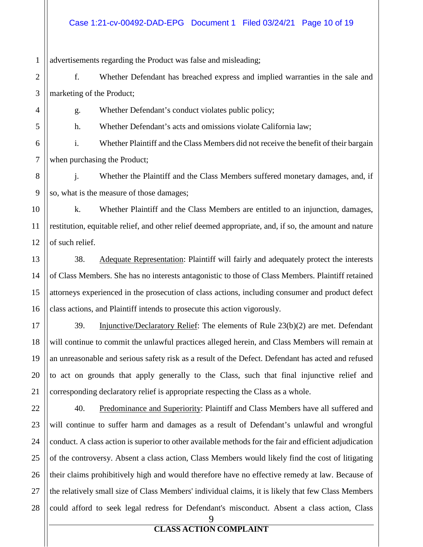#### Case 1:21-cv-00492-DAD-EPG Document 1 Filed 03/24/21 Page 10 of 19

1 advertisements regarding the Product was false and misleading;

2 3 f. Whether Defendant has breached express and implied warranties in the sale and marketing of the Product;

g. Whether Defendant's conduct violates public policy;

h. Whether Defendant's acts and omissions violate California law;

6 7 i. Whether Plaintiff and the Class Members did not receive the benefit of their bargain when purchasing the Product;

j. Whether the Plaintiff and the Class Members suffered monetary damages, and, if so, what is the measure of those damages;

k. Whether Plaintiff and the Class Members are entitled to an injunction, damages, restitution, equitable relief, and other relief deemed appropriate, and, if so, the amount and nature of such relief.

38. Adequate Representation: Plaintiff will fairly and adequately protect the interests of Class Members. She has no interests antagonistic to those of Class Members. Plaintiff retained attorneys experienced in the prosecution of class actions, including consumer and product defect class actions, and Plaintiff intends to prosecute this action vigorously.

39. Injunctive/Declaratory Relief: The elements of Rule 23(b)(2) are met. Defendant will continue to commit the unlawful practices alleged herein, and Class Members will remain at an unreasonable and serious safety risk as a result of the Defect. Defendant has acted and refused to act on grounds that apply generally to the Class, such that final injunctive relief and corresponding declaratory relief is appropriate respecting the Class as a whole.

40. Predominance and Superiority: Plaintiff and Class Members have all suffered and will continue to suffer harm and damages as a result of Defendant's unlawful and wrongful conduct. A class action is superior to other available methods for the fair and efficient adjudication of the controversy. Absent a class action, Class Members would likely find the cost of litigating their claims prohibitively high and would therefore have no effective remedy at law. Because of the relatively small size of Class Members' individual claims, it is likely that few Class Members could afford to seek legal redress for Defendant's misconduct. Absent a class action, Class

4

5

9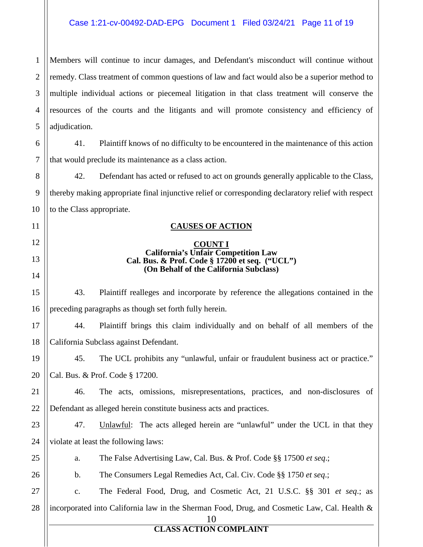#### Case 1:21-cv-00492-DAD-EPG Document 1 Filed 03/24/21 Page 11 of 19

1 2 3 4 5 Members will continue to incur damages, and Defendant's misconduct will continue without remedy. Class treatment of common questions of law and fact would also be a superior method to multiple individual actions or piecemeal litigation in that class treatment will conserve the resources of the courts and the litigants and will promote consistency and efficiency of adjudication.

6 7 41. Plaintiff knows of no difficulty to be encountered in the maintenance of this action that would preclude its maintenance as a class action.

42. Defendant has acted or refused to act on grounds generally applicable to the Class, thereby making appropriate final injunctive relief or corresponding declaratory relief with respect to the Class appropriate.

#### **CAUSES OF ACTION**

#### **COUNT I California's Unfair Competition Law Cal. Bus. & Prof. Code § 17200 et seq. ("UCL") (On Behalf of the California Subclass)**

43. Plaintiff realleges and incorporate by reference the allegations contained in the preceding paragraphs as though set forth fully herein.

17 18 44. Plaintiff brings this claim individually and on behalf of all members of the California Subclass against Defendant.

19 20 45. The UCL prohibits any "unlawful, unfair or fraudulent business act or practice." Cal. Bus. & Prof. Code § 17200.

21 22 46. The acts, omissions, misrepresentations, practices, and non-disclosures of Defendant as alleged herein constitute business acts and practices.

23 24 47. Unlawful: The acts alleged herein are "unlawful" under the UCL in that they violate at least the following laws:

25

26

8

9

10

11

12

13

14

15

16

a. The False Advertising Law, Cal. Bus. & Prof. Code §§ 17500 *et seq*.;

b. The Consumers Legal Remedies Act, Cal. Civ. Code §§ 1750 *et seq*.;

27 28 c. The Federal Food, Drug, and Cosmetic Act, 21 U.S.C. §§ 301 *et seq*.; as incorporated into California law in the Sherman Food, Drug, and Cosmetic Law, Cal. Health &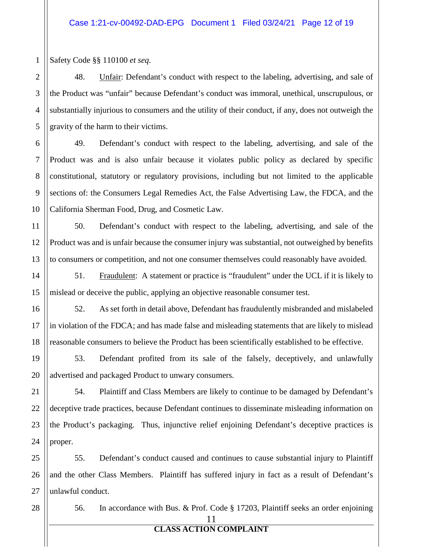1 Safety Code §§ 110100 *et seq*.

48. Unfair: Defendant's conduct with respect to the labeling, advertising, and sale of the Product was "unfair" because Defendant's conduct was immoral, unethical, unscrupulous, or substantially injurious to consumers and the utility of their conduct, if any, does not outweigh the gravity of the harm to their victims.

49. Defendant's conduct with respect to the labeling, advertising, and sale of the Product was and is also unfair because it violates public policy as declared by specific constitutional, statutory or regulatory provisions, including but not limited to the applicable sections of: the Consumers Legal Remedies Act, the False Advertising Law, the FDCA, and the California Sherman Food, Drug, and Cosmetic Law.

50. Defendant's conduct with respect to the labeling, advertising, and sale of the Product was and is unfair because the consumer injury was substantial, not outweighed by benefits to consumers or competition, and not one consumer themselves could reasonably have avoided.

51. Fraudulent: A statement or practice is "fraudulent" under the UCL if it is likely to mislead or deceive the public, applying an objective reasonable consumer test.

52. As set forth in detail above, Defendant has fraudulently misbranded and mislabeled in violation of the FDCA; and has made false and misleading statements that are likely to mislead reasonable consumers to believe the Product has been scientifically established to be effective.

53. Defendant profited from its sale of the falsely, deceptively, and unlawfully advertised and packaged Product to unwary consumers.

54. Plaintiff and Class Members are likely to continue to be damaged by Defendant's deceptive trade practices, because Defendant continues to disseminate misleading information on the Product's packaging. Thus, injunctive relief enjoining Defendant's deceptive practices is proper.

55. Defendant's conduct caused and continues to cause substantial injury to Plaintiff and the other Class Members. Plaintiff has suffered injury in fact as a result of Defendant's unlawful conduct.

11 56. In accordance with Bus. & Prof. Code § 17203, Plaintiff seeks an order enjoining

## **CLASS ACTION COMPLAINT**

2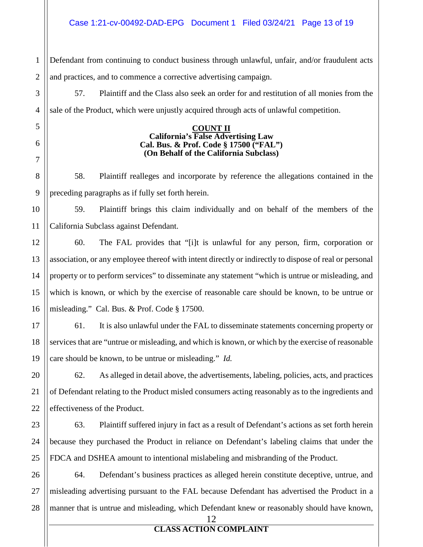1 2 Defendant from continuing to conduct business through unlawful, unfair, and/or fraudulent acts and practices, and to commence a corrective advertising campaign.

57. Plaintiff and the Class also seek an order for and restitution of all monies from the sale of the Product, which were unjustly acquired through acts of unlawful competition.

#### **COUNT II California's False Advertising Law Cal. Bus. & Prof. Code § 17500 ("FAL") (On Behalf of the California Subclass)**

58. Plaintiff realleges and incorporate by reference the allegations contained in the preceding paragraphs as if fully set forth herein.

59. Plaintiff brings this claim individually and on behalf of the members of the California Subclass against Defendant.

60. The FAL provides that "[i]t is unlawful for any person, firm, corporation or association, or any employee thereof with intent directly or indirectly to dispose of real or personal property or to perform services" to disseminate any statement "which is untrue or misleading, and which is known, or which by the exercise of reasonable care should be known, to be untrue or misleading." Cal. Bus. & Prof. Code § 17500.

61. It is also unlawful under the FAL to disseminate statements concerning property or services that are "untrue or misleading, and which is known, or which by the exercise of reasonable care should be known, to be untrue or misleading." *Id.*

62. As alleged in detail above, the advertisements, labeling, policies, acts, and practices of Defendant relating to the Product misled consumers acting reasonably as to the ingredients and effectiveness of the Product.

63. Plaintiff suffered injury in fact as a result of Defendant's actions as set forth herein because they purchased the Product in reliance on Defendant's labeling claims that under the FDCA and DSHEA amount to intentional mislabeling and misbranding of the Product.

26 27 28 64. Defendant's business practices as alleged herein constitute deceptive, untrue, and misleading advertising pursuant to the FAL because Defendant has advertised the Product in a manner that is untrue and misleading, which Defendant knew or reasonably should have known,

3

4

5

6

7

12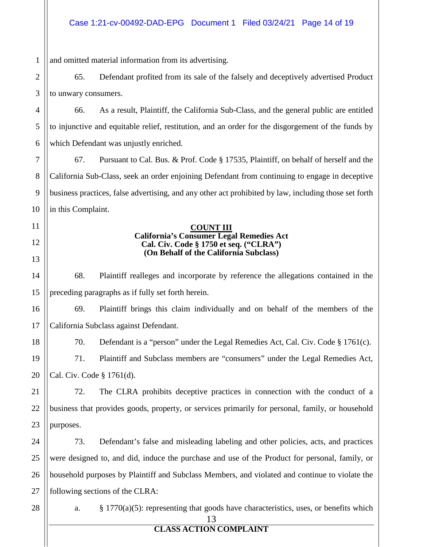13 1 2 3 4 5 6 7 8 9 10 11 12 13 14 15 16 17 18 19 20 21 22 23 24 25 26 27 28 and omitted material information from its advertising. 65. Defendant profited from its sale of the falsely and deceptively advertised Product to unwary consumers. 66. As a result, Plaintiff, the California Sub-Class, and the general public are entitled to injunctive and equitable relief, restitution, and an order for the disgorgement of the funds by which Defendant was unjustly enriched. 67. Pursuant to Cal. Bus. & Prof. Code § 17535, Plaintiff, on behalf of herself and the California Sub-Class, seek an order enjoining Defendant from continuing to engage in deceptive business practices, false advertising, and any other act prohibited by law, including those set forth in this Complaint. **COUNT III California's Consumer Legal Remedies Act Cal. Civ. Code § 1750 et seq. ("CLRA") (On Behalf of the California Subclass)**  68. Plaintiff realleges and incorporate by reference the allegations contained in the preceding paragraphs as if fully set forth herein. 69. Plaintiff brings this claim individually and on behalf of the members of the California Subclass against Defendant. 70. Defendant is a "person" under the Legal Remedies Act, Cal. Civ. Code § 1761(c). 71. Plaintiff and Subclass members are "consumers" under the Legal Remedies Act, Cal. Civ. Code § 1761(d). 72. The CLRA prohibits deceptive practices in connection with the conduct of a business that provides goods, property, or services primarily for personal, family, or household purposes. 73. Defendant's false and misleading labeling and other policies, acts, and practices were designed to, and did, induce the purchase and use of the Product for personal, family, or household purposes by Plaintiff and Subclass Members, and violated and continue to violate the following sections of the CLRA: a. § 1770(a)(5): representing that goods have characteristics, uses, or benefits which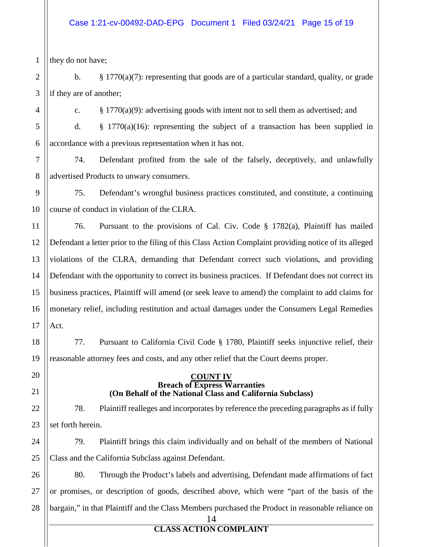#### Case 1:21-cv-00492-DAD-EPG Document 1 Filed 03/24/21 Page 15 of 19

1 they do not have;

4

11

17

18

19

20

21

24

25

2 3 b.  $\S 1770(a)(7)$ : representing that goods are of a particular standard, quality, or grade if they are of another;

c.  $\S 1770(a)(9)$ : advertising goods with intent not to sell them as advertised; and

5 6 d. § 1770(a)(16): representing the subject of a transaction has been supplied in accordance with a previous representation when it has not.

7 8 74. Defendant profited from the sale of the falsely, deceptively, and unlawfully advertised Products to unwary consumers.

9 10 75. Defendant's wrongful business practices constituted, and constitute, a continuing course of conduct in violation of the CLRA.

12 13 14 15 16 76. Pursuant to the provisions of Cal. Civ. Code § 1782(a), Plaintiff has mailed Defendant a letter prior to the filing of this Class Action Complaint providing notice of its alleged violations of the CLRA, demanding that Defendant correct such violations, and providing Defendant with the opportunity to correct its business practices. If Defendant does not correct its business practices, Plaintiff will amend (or seek leave to amend) the complaint to add claims for monetary relief, including restitution and actual damages under the Consumers Legal Remedies Act.

77. Pursuant to California Civil Code § 1780, Plaintiff seeks injunctive relief, their reasonable attorney fees and costs, and any other relief that the Court deems proper.

#### **COUNT IV Breach of Express Warranties (On Behalf of the National Class and California Subclass)**

22 23 78. Plaintiff realleges and incorporates by reference the preceding paragraphs as if fully set forth herein.

79. Plaintiff brings this claim individually and on behalf of the members of National Class and the California Subclass against Defendant.

14 26 27 28 80. Through the Product's labels and advertising, Defendant made affirmations of fact or promises, or description of goods, described above, which were "part of the basis of the bargain," in that Plaintiff and the Class Members purchased the Product in reasonable reliance on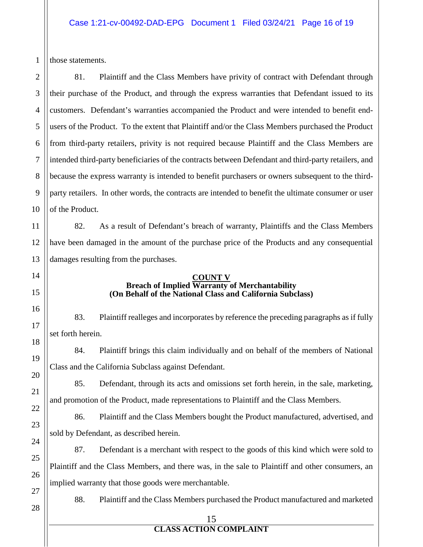1 those statements.

2

3

4

5

6

7

8

9

10

11

12

13

14

15

16

17

18

19

20

21

22

23

24

25

26

27

81. Plaintiff and the Class Members have privity of contract with Defendant through their purchase of the Product, and through the express warranties that Defendant issued to its customers. Defendant's warranties accompanied the Product and were intended to benefit endusers of the Product. To the extent that Plaintiff and/or the Class Members purchased the Product from third-party retailers, privity is not required because Plaintiff and the Class Members are intended third-party beneficiaries of the contracts between Defendant and third-party retailers, and because the express warranty is intended to benefit purchasers or owners subsequent to the thirdparty retailers. In other words, the contracts are intended to benefit the ultimate consumer or user of the Product.

82. As a result of Defendant's breach of warranty, Plaintiffs and the Class Members have been damaged in the amount of the purchase price of the Products and any consequential damages resulting from the purchases.

#### **COUNT V Breach of Implied Warranty of Merchantability (On Behalf of the National Class and California Subclass)**

83. Plaintiff realleges and incorporates by reference the preceding paragraphs as if fully set forth herein.

84. Plaintiff brings this claim individually and on behalf of the members of National Class and the California Subclass against Defendant.

85. Defendant, through its acts and omissions set forth herein, in the sale, marketing, and promotion of the Product, made representations to Plaintiff and the Class Members.

86. Plaintiff and the Class Members bought the Product manufactured, advertised, and sold by Defendant, as described herein.

87. Defendant is a merchant with respect to the goods of this kind which were sold to Plaintiff and the Class Members, and there was, in the sale to Plaintiff and other consumers, an implied warranty that those goods were merchantable.

28

88. Plaintiff and the Class Members purchased the Product manufactured and marketed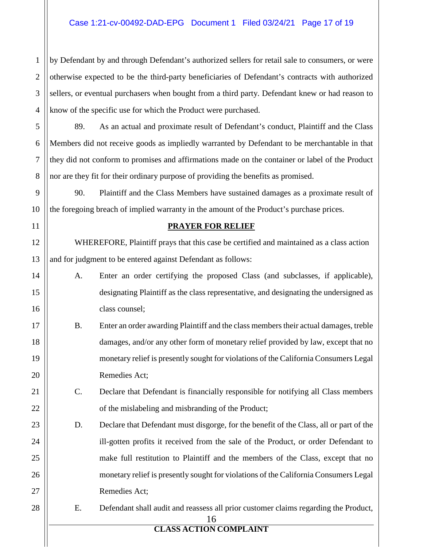### Case 1:21-cv-00492-DAD-EPG Document 1 Filed 03/24/21 Page 17 of 19

by Defendant by and through Defendant's authorized sellers for retail sale to consumers, or were otherwise expected to be the third-party beneficiaries of Defendant's contracts with authorized sellers, or eventual purchasers when bought from a third party. Defendant knew or had reason to know of the specific use for which the Product were purchased.

89. As an actual and proximate result of Defendant's conduct, Plaintiff and the Class Members did not receive goods as impliedly warranted by Defendant to be merchantable in that they did not conform to promises and affirmations made on the container or label of the Product nor are they fit for their ordinary purpose of providing the benefits as promised.

90. Plaintiff and the Class Members have sustained damages as a proximate result of the foregoing breach of implied warranty in the amount of the Product's purchase prices.

#### **PRAYER FOR RELIEF**

WHEREFORE, Plaintiff prays that this case be certified and maintained as a class action and for judgment to be entered against Defendant as follows:

- A. Enter an order certifying the proposed Class (and subclasses, if applicable), designating Plaintiff as the class representative, and designating the undersigned as class counsel;
- B. Enter an order awarding Plaintiff and the class members their actual damages, treble damages, and/or any other form of monetary relief provided by law, except that no monetary relief is presently sought for violations of the California Consumers Legal Remedies Act;
	- C. Declare that Defendant is financially responsible for notifying all Class members of the mislabeling and misbranding of the Product;
- D. Declare that Defendant must disgorge, for the benefit of the Class, all or part of the ill-gotten profits it received from the sale of the Product, or order Defendant to make full restitution to Plaintiff and the members of the Class, except that no monetary relief is presently sought for violations of the California Consumers Legal Remedies Act;
	- E. Defendant shall audit and reassess all prior customer claims regarding the Product,

16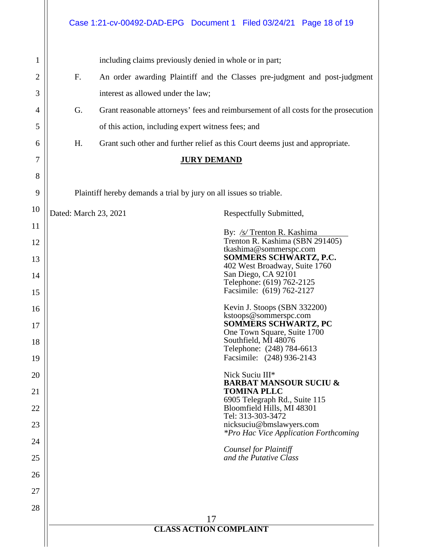17 **CLASS ACTION COMPLAINT**  1 2 3 4 5 6 7 8 9 10 11 12 13 14 15 16 17 18 19 20 21 22 23 24 25 26 27 28 including claims previously denied in whole or in part; F. An order awarding Plaintiff and the Classes pre-judgment and post-judgment interest as allowed under the law; G. Grant reasonable attorneys' fees and reimbursement of all costs for the prosecution of this action, including expert witness fees; and H. Grant such other and further relief as this Court deems just and appropriate. **JURY DEMAND** Plaintiff hereby demands a trial by jury on all issues so triable. Dated: March 23, 2021 Respectfully Submitted, By: */s/* Trenton R. Kashima Trenton R. Kashima (SBN 291405) tkashima@sommerspc.com **SOMMERS SCHWARTZ, P.C.**  402 West Broadway, Suite 1760 San Diego, CA 92101 Telephone: (619) 762-2125 Facsimile: (619) 762-2127 Kevin J. Stoops (SBN 332200) kstoops@sommerspc.com **SOMMERS SCHWARTZ, PC**  One Town Square, Suite 1700 Southfield, MI 48076 Telephone: (248) 784-6613 Facsimile: (248) 936-2143 Nick Suciu III\* **BARBAT MANSOUR SUCIU & TOMINA PLLC**  6905 Telegraph Rd., Suite 115 Bloomfield Hills, MI 48301 Tel: 313-303-3472 nicksuciu@bmslawyers.com *\*Pro Hac Vice Application Forthcoming Counsel for Plaintiff and the Putative Class*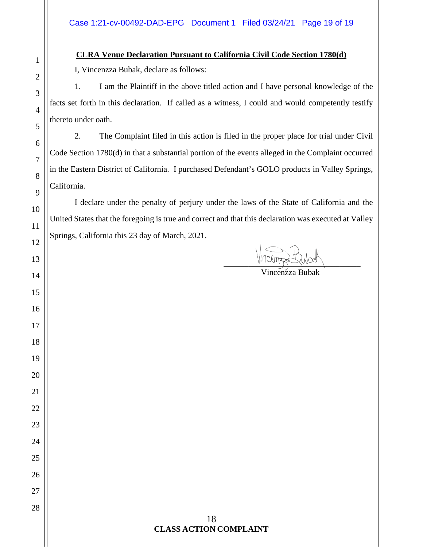## **CLRA Venue Declaration Pursuant to California Civil Code Section 1780(d)**

I, Vincenzza Bubak, declare as follows:

1. I am the Plaintiff in the above titled action and I have personal knowledge of the facts set forth in this declaration. If called as a witness, I could and would competently testify thereto under oath.

2. The Complaint filed in this action is filed in the proper place for trial under Civil Code Section 1780(d) in that a substantial portion of the events alleged in the Complaint occurred in the Eastern District of California. I purchased Defendant's GOLO products in Valley Springs, California.

I declare under the penalty of perjury under the laws of the State of California and the United States that the foregoing is true and correct and that this declaration was executed at Valley Springs, California this 23 day of March, 2021.

> **CLASS ACTION COMPLAINT**

 $\frac{1}{\frac{1}{\frac{1}{\frac{1}{\sqrt{1-\frac{1}{\sqrt{1-\frac{1}{\sqrt{1-\frac{1}{\sqrt{1-\frac{1}{\sqrt{1-\frac{1}{\sqrt{1-\frac{1}{\sqrt{1-\frac{1}{\sqrt{1-\frac{1}{\sqrt{1-\frac{1}{\sqrt{1-\frac{1}{\sqrt{1-\frac{1}{\sqrt{1-\frac{1}{\sqrt{1-\frac{1}{\sqrt{1-\frac{1}{\sqrt{1-\frac{1}{\sqrt{1-\frac{1}{\sqrt{1-\frac{1}{\sqrt{1-\frac{1}{\sqrt{1-\frac{1}{1-\frac{1}{\sqrt{1-\frac{1}{1-\frac{1}{\sqrt{1-\frac{1$ 

## Vincenzza Bubak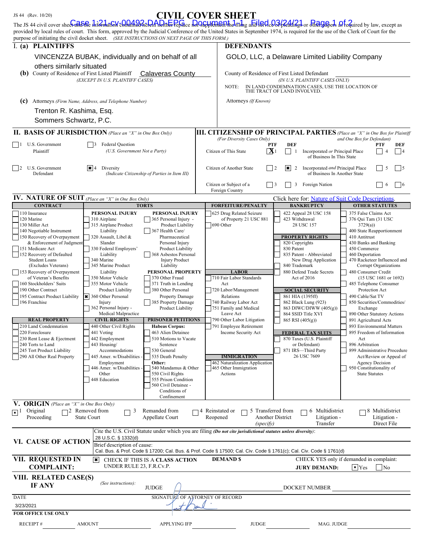| The JS 44 civil cover shee <del>Cadotic</del> hierdation chiamed acted And the Pepiace del Capplement the and the dc <b>o3p</b> eating a or the Gap also as fequired by law, except as<br>provided by local rules of court. This form, approved by the Judicial Conference of the United States in September 1974, is required for the use of the Clerk of Court for the<br>purpose of initiating the civil docket sheet. (SEE INSTRUCTIONS ON NEXT PAGE OF THIS FORM.) |                                                      |                                                    |                                                                                                                                                                            |                                                                                                             |                                                                                     |  |
|-------------------------------------------------------------------------------------------------------------------------------------------------------------------------------------------------------------------------------------------------------------------------------------------------------------------------------------------------------------------------------------------------------------------------------------------------------------------------|------------------------------------------------------|----------------------------------------------------|----------------------------------------------------------------------------------------------------------------------------------------------------------------------------|-------------------------------------------------------------------------------------------------------------|-------------------------------------------------------------------------------------|--|
| I. (a) PLAINTIFFS                                                                                                                                                                                                                                                                                                                                                                                                                                                       |                                                      |                                                    | <b>DEFENDANTS</b>                                                                                                                                                          |                                                                                                             |                                                                                     |  |
| others similarly situated                                                                                                                                                                                                                                                                                                                                                                                                                                               | VINCENZZA BUBAK, individually and on behalf of all   |                                                    | GOLO, LLC, a Delaware Limited Liability Company                                                                                                                            |                                                                                                             |                                                                                     |  |
| <b>(b)</b> County of Residence of First Listed Plaintiff                                                                                                                                                                                                                                                                                                                                                                                                                |                                                      | <b>Calaveras County</b>                            | County of Residence of First Listed Defendant<br>(IN U.S. PLAINTIFF CASES ONLY)<br>IN LAND CONDEMNATION CASES, USE THE LOCATION OF<br>NOTE:<br>THE TRACT OF LAND INVOLVED. |                                                                                                             |                                                                                     |  |
|                                                                                                                                                                                                                                                                                                                                                                                                                                                                         | (EXCEPT IN U.S. PLAINTIFF CASES)                     |                                                    |                                                                                                                                                                            |                                                                                                             |                                                                                     |  |
| (c)                                                                                                                                                                                                                                                                                                                                                                                                                                                                     | Attorneys (Firm Name, Address, and Telephone Number) |                                                    | Attorneys (If Known)                                                                                                                                                       |                                                                                                             |                                                                                     |  |
| Trenton R. Kashima, Esq.<br>Sommers Schwartz, P.C.                                                                                                                                                                                                                                                                                                                                                                                                                      |                                                      |                                                    |                                                                                                                                                                            |                                                                                                             |                                                                                     |  |
| <b>II. BASIS OF JURISDICTION</b> (Place an "X" in One Box Only)                                                                                                                                                                                                                                                                                                                                                                                                         |                                                      |                                                    |                                                                                                                                                                            |                                                                                                             | <b>III. CITIZENSHIP OF PRINCIPAL PARTIES</b> (Place an "X" in One Box for Plaintiff |  |
| U.S. Government                                                                                                                                                                                                                                                                                                                                                                                                                                                         |                                                      | <b>Federal Question</b>                            |                                                                                                                                                                            | <b>PTF</b><br><b>DEF</b>                                                                                    | and One Box for Defendant)<br>PTF<br>DEF                                            |  |
| Plaintiff                                                                                                                                                                                                                                                                                                                                                                                                                                                               |                                                      | (U.S. Government Not a Party)                      |                                                                                                                                                                            | $\mathbf{X}$ 1<br>Incorporated or Principal Place<br>-1<br>of Business In This State                        | 4<br>$\overline{4}$                                                                 |  |
| U.S. Government<br>2<br>Defendant                                                                                                                                                                                                                                                                                                                                                                                                                                       | $ \mathbf{x} $ 4<br>Diversity                        | (Indicate Citizenship of Parties in Item III)      |                                                                                                                                                                            | I×l<br>Incorporated and Principal Place<br>$\overline{2}$<br>$\frac{12}{2}$<br>of Business In Another State | 5<br>$\vert$ 5                                                                      |  |
|                                                                                                                                                                                                                                                                                                                                                                                                                                                                         |                                                      |                                                    | Citizen or Subject of a<br>Foreign Country                                                                                                                                 | 3<br>Foreign Nation<br>$\vert$ 3                                                                            | 6<br>$\vert$ 6                                                                      |  |
| <b>IV. NATURE OF SUIT</b> (Place an "X" in One Box Only)                                                                                                                                                                                                                                                                                                                                                                                                                |                                                      |                                                    |                                                                                                                                                                            | Click here for: Nature of Suit Code Descriptions                                                            |                                                                                     |  |
| <b>CONTRACT</b><br>110 Insurance                                                                                                                                                                                                                                                                                                                                                                                                                                        | PERSONAL INJURY                                      | <b>TORTS</b><br>PERSONAL INJURY                    | <b>FORFEITURE/PENALTY</b><br>625 Drug Related Seizure                                                                                                                      | <b>BANKRUPTCY</b><br>422 Appeal 28 USC 158                                                                  | <b>OTHER STATUTES</b><br>375 False Claims Act                                       |  |
| 120 Marine                                                                                                                                                                                                                                                                                                                                                                                                                                                              | 310 Airplane                                         | 365 Personal Injury -                              | of Property 21 USC 881                                                                                                                                                     | 423 Withdrawal                                                                                              | 376 Qui Tam (31 USC                                                                 |  |
| 130 Miller Act                                                                                                                                                                                                                                                                                                                                                                                                                                                          | 315 Airplane Product                                 | Product Liability<br>367 Health Care/              | 690 Other                                                                                                                                                                  | 28 USC 157                                                                                                  | 3729(a)                                                                             |  |
| 140 Negotiable Instrument<br>150 Recovery of Overpayment                                                                                                                                                                                                                                                                                                                                                                                                                | Liability<br>320 Assault, Libel &                    | Pharmaceutical                                     |                                                                                                                                                                            | <b>PROPERTY RIGHTS</b>                                                                                      | 400 State Reapportionment<br>410 Antitrust                                          |  |
| & Enforcement of Judgment                                                                                                                                                                                                                                                                                                                                                                                                                                               | Slander                                              | Personal Injury                                    |                                                                                                                                                                            | 820 Copyrights                                                                                              | 430 Banks and Banking                                                               |  |
| 151 Medicare Act<br>152 Recovery of Defaulted                                                                                                                                                                                                                                                                                                                                                                                                                           | 330 Federal Employers'<br>Liability                  | <b>Product Liability</b><br>368 Asbestos Personal  |                                                                                                                                                                            | 830 Patent<br>835 Patent - Abbreviated                                                                      | 450 Commerce<br>460 Deportation                                                     |  |
| <b>Student Loans</b>                                                                                                                                                                                                                                                                                                                                                                                                                                                    | 340 Marine                                           | <b>Injury Product</b>                              |                                                                                                                                                                            | New Drug Application                                                                                        | 470 Racketeer Influenced and                                                        |  |
| (Excludes Veterans)                                                                                                                                                                                                                                                                                                                                                                                                                                                     | 345 Marine Product                                   | Liability                                          |                                                                                                                                                                            | 840 Trademark                                                                                               | Corrupt Organizations                                                               |  |
| 153 Recovery of Overpayment<br>of Veteran's Benefits                                                                                                                                                                                                                                                                                                                                                                                                                    | Liability<br>350 Motor Vehicle                       | PERSONAL PROPERTY<br>370 Other Fraud               | <b>LABOR</b><br>710 Fair Labor Standards                                                                                                                                   | 880 Defend Trade Secrets<br>Act of 2016                                                                     | 480 Consumer Credit<br>(15 USC 1681 or 1692)                                        |  |
| 160 Stockholders' Suits                                                                                                                                                                                                                                                                                                                                                                                                                                                 | 355 Motor Vehicle                                    | 371 Truth in Lending                               | Act                                                                                                                                                                        |                                                                                                             | 485 Telephone Consumer                                                              |  |
| 190 Other Contract                                                                                                                                                                                                                                                                                                                                                                                                                                                      | Product Liability                                    | 380 Other Personal                                 | 720 Labor/Management                                                                                                                                                       | <b>SOCIAL SECURITY</b>                                                                                      | Protection Act                                                                      |  |
| 195 Contract Product Liability<br>196 Franchise                                                                                                                                                                                                                                                                                                                                                                                                                         | * 360 Other Personal<br>Injury                       | <b>Property Damage</b><br>385 Property Damage      | Relations<br>740 Railway Labor Act                                                                                                                                         | 861 HIA (1395ff)<br>862 Black Lung (923)                                                                    | 490 Cable/Sat TV<br>850 Securities/Commodities/                                     |  |
|                                                                                                                                                                                                                                                                                                                                                                                                                                                                         | 362 Personal Injury -                                | <b>Product Liability</b>                           | 751 Family and Medical                                                                                                                                                     | 863 DIWC/DIWW (405(g))                                                                                      | Exchange                                                                            |  |
|                                                                                                                                                                                                                                                                                                                                                                                                                                                                         | Medical Malpractice                                  |                                                    | Leave Act                                                                                                                                                                  | 864 SSID Title XVI                                                                                          | 890 Other Statutory Actions                                                         |  |
| <b>REAL PROPERTY</b><br>210 Land Condemnation                                                                                                                                                                                                                                                                                                                                                                                                                           | <b>CIVIL RIGHTS</b><br>440 Other Civil Rights        | <b>PRISONER PETITIONS</b><br><b>Habeas Corpus:</b> | 790 Other Labor Litigation<br>791 Employee Retirement                                                                                                                      | 865 RSI (405(g))                                                                                            | 891 Agricultural Acts<br>893 Environmental Matters                                  |  |
| 220 Foreclosure                                                                                                                                                                                                                                                                                                                                                                                                                                                         | 441 Voting                                           | 463 Alien Detainee                                 | Income Security Act                                                                                                                                                        | <b>FEDERAL TAX SUITS</b>                                                                                    | 895 Freedom of Information                                                          |  |
| 230 Rent Lease & Ejectment                                                                                                                                                                                                                                                                                                                                                                                                                                              | 442 Employment                                       | 510 Motions to Vacate                              |                                                                                                                                                                            | 870 Taxes (U.S. Plaintiff                                                                                   | Act                                                                                 |  |
| 240 Torts to Land<br>245 Tort Product Liability                                                                                                                                                                                                                                                                                                                                                                                                                         | 443 Housing/<br>Accommodations                       | Sentence<br>530 General                            |                                                                                                                                                                            | or Defendant)<br>871 IRS-Third Party                                                                        | 896 Arbitration<br>899 Administrative Procedure                                     |  |
| 290 All Other Real Property                                                                                                                                                                                                                                                                                                                                                                                                                                             | 445 Amer. w/Disabilities -                           | 535 Death Penalty                                  | <b>IMMIGRATION</b>                                                                                                                                                         | 26 USC 7609                                                                                                 | Act/Review or Appeal of                                                             |  |
|                                                                                                                                                                                                                                                                                                                                                                                                                                                                         | Employment                                           | Other:                                             | 462 Naturalization Application                                                                                                                                             |                                                                                                             | Agency Decision                                                                     |  |
|                                                                                                                                                                                                                                                                                                                                                                                                                                                                         | 446 Amer. w/Disabilities -<br>Other                  | 540 Mandamus & Other<br>550 Civil Rights           | 465 Other Immigration<br>Actions                                                                                                                                           |                                                                                                             | 950 Constitutionality of<br><b>State Statutes</b>                                   |  |
|                                                                                                                                                                                                                                                                                                                                                                                                                                                                         | 448 Education                                        | 555 Prison Condition                               |                                                                                                                                                                            |                                                                                                             |                                                                                     |  |
|                                                                                                                                                                                                                                                                                                                                                                                                                                                                         |                                                      | 560 Civil Detainee -                               |                                                                                                                                                                            |                                                                                                             |                                                                                     |  |
|                                                                                                                                                                                                                                                                                                                                                                                                                                                                         |                                                      | Conditions of<br>Confinement                       |                                                                                                                                                                            |                                                                                                             |                                                                                     |  |
| <b>V. ORIGIN</b> (Place an "X" in One Box Only)                                                                                                                                                                                                                                                                                                                                                                                                                         |                                                      |                                                    |                                                                                                                                                                            |                                                                                                             |                                                                                     |  |
| Original<br>$\overline{\bullet}$ 1                                                                                                                                                                                                                                                                                                                                                                                                                                      | $\Box$ 2 Removed from<br>3                           | Remanded from                                      | 5 Transferred from<br>74 Reinstated or                                                                                                                                     | 6 Multidistrict                                                                                             | 8 Multidistrict                                                                     |  |
| Proceeding                                                                                                                                                                                                                                                                                                                                                                                                                                                              | <b>State Court</b>                                   | Appellate Court                                    | Reopened<br>(specify)                                                                                                                                                      | Another District<br>Litigation -<br>Transfer                                                                | Litigation -<br>Direct File                                                         |  |
|                                                                                                                                                                                                                                                                                                                                                                                                                                                                         | 28 U.S.C. § 1332(d)                                  |                                                    | Cite the U.S. Civil Statute under which you are filing (Do not cite jurisdictional statutes unless diversity):                                                             |                                                                                                             |                                                                                     |  |
| VI. CAUSE OF ACTION                                                                                                                                                                                                                                                                                                                                                                                                                                                     | Brief description of cause:                          |                                                    | Cal. Bus. & Prof. Code § 17200; Cal. Bus. & Prof. Code § 17500; Cal. Civ. Code § 1761(c); Cal. Civ. Code § 1761(d)                                                         |                                                                                                             |                                                                                     |  |
| VII. REQUESTED IN                                                                                                                                                                                                                                                                                                                                                                                                                                                       | $ \boldsymbol{\ast} $                                | CHECK IF THIS IS A CLASS ACTION                    | <b>DEMAND \$</b>                                                                                                                                                           |                                                                                                             | CHECK YES only if demanded in complaint:                                            |  |
| <b>COMPLAINT:</b>                                                                                                                                                                                                                                                                                                                                                                                                                                                       | UNDER RULE 23, F.R.Cv.P.                             |                                                    | $\vert \cdot \vert$ Yes<br>N <sub>0</sub><br><b>JURY DEMAND:</b>                                                                                                           |                                                                                                             |                                                                                     |  |
| VIII. RELATED CASE(S)<br><b>IF ANY</b>                                                                                                                                                                                                                                                                                                                                                                                                                                  | (See instructions):                                  | <b>JUDGE</b>                                       |                                                                                                                                                                            | DOCKET NUMBER                                                                                               |                                                                                     |  |
| <b>DATE</b>                                                                                                                                                                                                                                                                                                                                                                                                                                                             |                                                      | SIGNATURE OF ATTORNEY OF RECORD                    |                                                                                                                                                                            |                                                                                                             |                                                                                     |  |
| 3/23/2021                                                                                                                                                                                                                                                                                                                                                                                                                                                               |                                                      |                                                    |                                                                                                                                                                            |                                                                                                             |                                                                                     |  |
| FOR OFFICE USE ONLY                                                                                                                                                                                                                                                                                                                                                                                                                                                     |                                                      |                                                    |                                                                                                                                                                            |                                                                                                             |                                                                                     |  |
|                                                                                                                                                                                                                                                                                                                                                                                                                                                                         |                                                      |                                                    |                                                                                                                                                                            |                                                                                                             |                                                                                     |  |
| RECEIPT#                                                                                                                                                                                                                                                                                                                                                                                                                                                                | <b>AMOUNT</b>                                        | <b>APPLYING IFP</b>                                | <b>JUDGE</b>                                                                                                                                                               | MAG. JUDGE                                                                                                  |                                                                                     |  |

 $JS$  44 (Rev. 10/20) CIVIL COVER SHEET